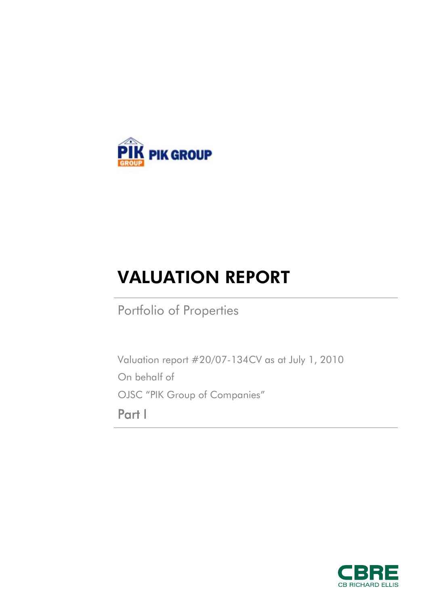

# VALUATION REPORT

Portfolio of Properties

Valuation report #20/07-134CV as at July 1, 2010 On behalf of OJSC "PIK Group of Companies" **Part I** 

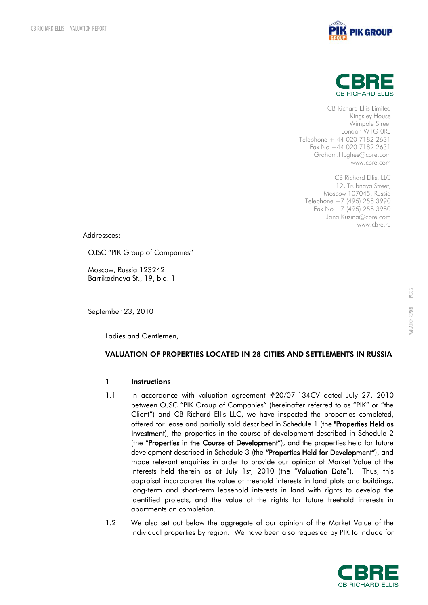



CB Richard Ellis Limited Kingsley House Wimpole Street London W1G 0RE Telephone + 44 020 7182 2631 Fax No +44 020 7182 2631 Graham.Hughes@cbre.com www.cbre.com

CB Richard Ellis, LLC 12, Trubnaya Street, Moscow 107045, Russia Telephone +7 (495) 258 3990 Fax No +7 (495) 258 3980 Jana.Kuzina@cbre.com www.cbre.ru

Addressees:

OJSC "PIK Group of Companies"

Moscow, Russia 123242 Barrikadnaya St., 19, bld. 1

September 23, 2010

Ladies and Gentlemen,

# VALUATION OF PROPERTIES LOCATED IN 28 CITIES AND SETTLEMENTS IN RUSSIA

## 1 Instructions

- 1.1 In accordance with valuation agreement #20/07-134CV dated July 27, 2010 between OJSC "PIK Group of Companies" (hereinafter referred to as "PIK" or "the Client") and CB Richard Ellis LLC, we have inspected the properties completed, offered for lease and partially sold described in Schedule 1 (the **"Properties Held as Investment**), the properties in the course of development described in Schedule 2 (the "**Properties in the Course of Development**"), and the properties held for future development described in Schedule 3 (the **"Properties Held for Development"**), and made relevant enquiries in order to provide our opinion of Market Value of the interests held therein as at July 1st, 2010 (the "**Valuation Date**"). Thus, this appraisal incorporates the value of freehold interests in land plots and buildings, long-term and short-term leasehold interests in land with rights to develop the identified projects, and the value of the rights for future freehold interests in apartments on completion.
- 1.2 We also set out below the aggregate of our opinion of the Market Value of the individual properties by region. We have been also requested by PIK to include for

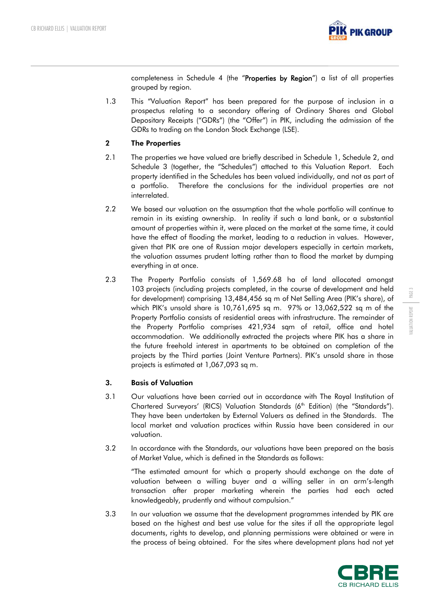

completeness in Schedule 4 (the "**Properties by Region**") a list of all properties grouped by region.

1.3 This "Valuation Report" has been prepared for the purpose of inclusion in a prospectus relating to a secondary offering of Ordinary Shares and Global Depositary Receipts ("GDRs") (the "Offer") in PIK, including the admission of the GDRs to trading on the London Stock Exchange (LSE).

# 2 The Properties

- 2.1 The properties we have valued are briefly described in Schedule 1, Schedule 2, and Schedule 3 (together, the "Schedules") attached to this Valuation Report. Each property identified in the Schedules has been valued individually, and not as part of a portfolio. Therefore the conclusions for the individual properties are not interrelated.
- 2.2 We based our valuation on the assumption that the whole portfolio will continue to remain in its existing ownership. In reality if such a land bank, or a substantial amount of properties within it, were placed on the market at the same time, it could have the effect of flooding the market, leading to a reduction in values. However, given that PIK are one of Russian major developers especially in certain markets, the valuation assumes prudent lotting rather than to flood the market by dumping everything in at once.
- 2.3 The Property Portfolio consists of 1,569.68 ha of land allocated amongst 103 projects (including projects completed, in the course of development and held for development) comprising 13,484,456 sq m of Net Selling Area (PIK's share), of which PIK's unsold share is 10,761,695 sq m. 97% or 13,062,522 sq m of the Property Portfolio consists of residential areas with infrastructure. The remainder of the Property Portfolio comprises 421,934 sqm of retail, office and hotel accommodation. We additionally extracted the projects where PIK has a share in the future freehold interest in apartments to be obtained on completion of the projects by the Third parties (Joint Venture Partners). PIK's unsold share in those projects is estimated at 1,067,093 sq m.

# 3. Basis of Valuation

- 3.1 Our valuations have been carried out in accordance with The Royal Institution of Chartered Surveyors' (RICS) Valuation Standards (6<sup>th</sup> Edition) (the "Standards"). They have been undertaken by External Valuers as defined in the Standards. The local market and valuation practices within Russia have been considered in our valuation.
- 3.2 In accordance with the Standards, our valuations have been prepared on the basis of Market Value, which is defined in the Standards as follows:

"The estimated amount for which a property should exchange on the date of valuation between a willing buyer and a willing seller in an arm's-length transaction after proper marketing wherein the parties had each acted knowledgeably, prudently and without compulsion."

3.3 In our valuation we assume that the development programmes intended by PIK are based on the highest and best use value for the sites if all the appropriate legal documents, rights to develop, and planning permissions were obtained or were in the process of being obtained. For the sites where development plans had not yet

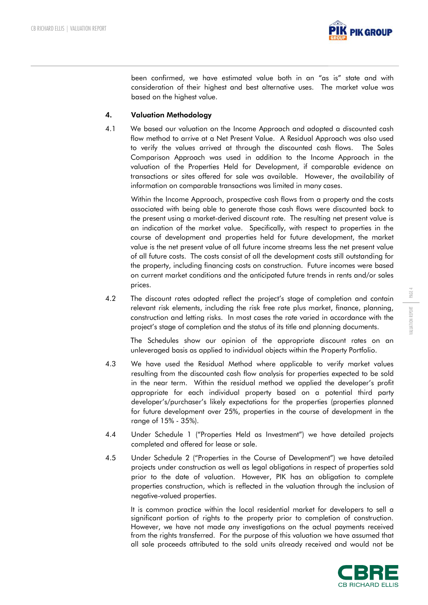

been confirmed, we have estimated value both in an "as is" state and with consideration of their highest and best alternative uses. The market value was based on the highest value.

## 4. Valuation Methodology

4.1 We based our valuation on the Income Approach and adopted a discounted cash flow method to arrive at a Net Present Value. A Residual Approach was also used to verify the values arrived at through the discounted cash flows. The Sales Comparison Approach was used in addition to the Income Approach in the valuation of the Properties Held for Development, if comparable evidence on transactions or sites offered for sale was available. However, the availability of information on comparable transactions was limited in many cases.

Within the Income Approach, prospective cash flows from a property and the costs associated with being able to generate those cash flows were discounted back to the present using a market-derived discount rate. The resulting net present value is an indication of the market value. Specifically, with respect to properties in the course of development and properties held for future development, the market value is the net present value of all future income streams less the net present value of all future costs. The costs consist of all the development costs still outstanding for the property, including financing costs on construction. Future incomes were based on current market conditions and the anticipated future trends in rents and/or sales prices.

4.2 The discount rates adopted reflect the project's stage of completion and contain relevant risk elements, including the risk free rate plus market, finance, planning, construction and letting risks. In most cases the rate varied in accordance with the project's stage of completion and the status of its title and planning documents.

The Schedules show our opinion of the appropriate discount rates on an unleveraged basis as applied to individual objects within the Property Portfolio.

- 4.3 We have used the Residual Method where applicable to verify market values resulting from the discounted cash flow analysis for properties expected to be sold in the near term. Within the residual method we applied the developer's profit appropriate for each individual property based on a potential third party developer's/purchaser's likely expectations for the properties (properties planned for future development over 25%, properties in the course of development in the range of 15% - 35%).
- 4.4 Under Schedule 1 ("Properties Held as Investment") we have detailed projects completed and offered for lease or sale.
- 4.5 Under Schedule 2 ("Properties in the Course of Development") we have detailed projects under construction as well as legal obligations in respect of properties sold prior to the date of valuation. However, PIK has an obligation to complete properties construction, which is reflected in the valuation through the inclusion of negative-valued properties.

It is common practice within the local residential market for developers to sell a significant portion of rights to the property prior to completion of construction. However, we have not made any investigations on the actual payments received from the rights transferred. For the purpose of this valuation we have assumed that all sale proceeds attributed to the sold units already received and would not be

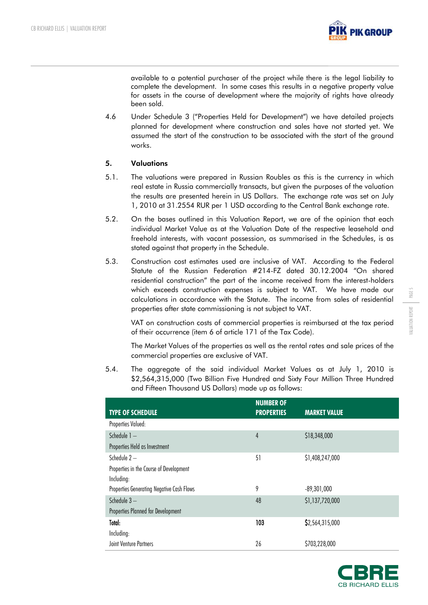

available to a potential purchaser of the project while there is the legal liability to complete the development. In some cases this results in a negative property value for assets in the course of development where the majority of rights have already been sold.

4.6 Under Schedule 3 ("Properties Held for Development") we have detailed projects planned for development where construction and sales have not started yet. We assumed the start of the construction to be associated with the start of the ground works.

# 5. Valuations

- 5.1. The valuations were prepared in Russian Roubles as this is the currency in which real estate in Russia commercially transacts, but given the purposes of the valuation the results are presented herein in US Dollars. The exchange rate was set on July 1, 2010 at 31.2554 RUR per 1 USD according to the Central Bank exchange rate.
- 5.2. On the bases outlined in this Valuation Report, we are of the opinion that each individual Market Value as at the Valuation Date of the respective leasehold and freehold interests, with vacant possession, as summarised in the Schedules, is as stated against that property in the Schedule.
- 5.3. Construction cost estimates used are inclusive of VAT. According to the Federal Statute of the Russian Federation #214-FZ dated 30.12.2004 "On shared residential construction" the part of the income received from the interest-holders which exceeds construction expenses is subject to VAT. We have made our calculations in accordance with the Statute. The income from sales of residential properties after state commissioning is not subject to VAT.

VAT on construction costs of commercial properties is reimbursed at the tax period of their occurrence (item 6 of article 171 of the Tax Code).

The Market Values of the properties as well as the rental rates and sale prices of the commercial properties are exclusive of VAT.

5.4. The aggregate of the said individual Market Values as at July 1, 2010 is \$2,564,315,000 (Two Billion Five Hundred and Sixty Four Million Three Hundred and Fifteen Thousand US Dollars) made up as follows:

| <b>TYPE OF SCHEDULE</b>                   | <b>NUMBER OF</b><br><b>PROPERTIES</b> | <b>MARKET VALUE</b> |
|-------------------------------------------|---------------------------------------|---------------------|
| Properties Valued:                        |                                       |                     |
| Schedule 1-                               | $\overline{4}$                        | \$18,348,000        |
| Properties Held as Investment             |                                       |                     |
| Schedule $2-$                             | 51                                    | \$1,408,247,000     |
| Properties in the Course of Development   |                                       |                     |
| Including:                                |                                       |                     |
| Properties Generating Negative Cash Flows | 9                                     | $-89,301,000$       |
| Schedule 3-                               | 48                                    | \$1,137,720,000     |
| Properties Planned for Development        |                                       |                     |
| Total:                                    | 103                                   | \$2,564,315,000     |
| Including:                                |                                       |                     |
| Joint Venture Partners                    | 26                                    | \$703,228,000       |

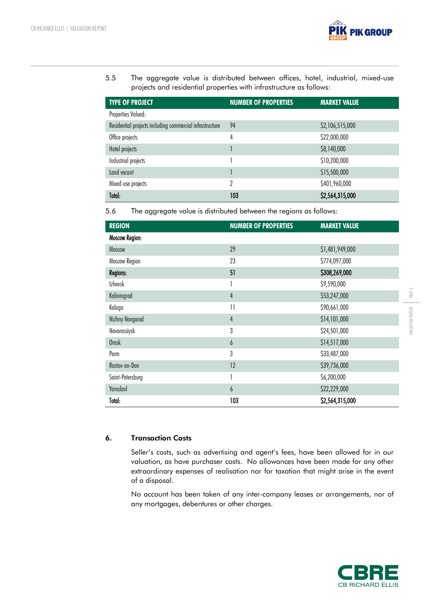

5.5 The aggregate value is distributed between offices, hotel, industrial, mixed-use projects and residential properties with infrastructure as follows:

| <b>TYPE OF PROJECT</b>                                   | <b>NUMBER OF PROPERTIES</b> | <b>MARKET VALUE</b> |
|----------------------------------------------------------|-----------------------------|---------------------|
| Properties Valued:                                       |                             |                     |
| Residential projects including commercial infrastructure | 94                          | \$2,106,515,000     |
| Office projects                                          | 4                           | \$22,000,000        |
| Hotel projects                                           |                             | \$8,140,000         |
| Industrial projects                                      |                             | \$10,200,000        |
| Land vacant                                              |                             | \$15,500,000        |
| Mixed-use projects                                       | 2                           | \$401,960,000       |
| Total:                                                   | 103                         | \$2,564,315,000     |

5.6 The aggregate value is distributed between the regions as follows:

| <b>REGION</b>         | <b>NUMBER OF PROPERTIES</b> | <b>MARKET VALUE</b> |
|-----------------------|-----------------------------|---------------------|
| <b>Moscow Region:</b> |                             |                     |
| Moscow                | 29                          | \$1,481,949,000     |
| Moscow Region         | 23                          | \$774,097,000       |
| <b>Regions:</b>       | 51                          | \$308,269,000       |
| <b>Izhevsk</b>        | 1                           | \$9,590,000         |
| Kaliningrad           | $\overline{4}$              | \$53,247,000        |
| Kaluga                | $\overline{1}$              | \$90,661,000        |
| Nizhny Novgorod       | $\overline{4}$              | \$14,101,000        |
| Novorossiysk          | $\mathfrak{z}$              | \$24,501,000        |
| Omsk                  | $\boldsymbol{6}$            | \$14,517,000        |
| Perm                  | 3                           | \$33,487,000        |
| Rostov-on-Don         | 12                          | \$39,736,000        |
| Saint-Petersburg      | 1                           | \$6,200,000         |
| Yaroslavl             | $\boldsymbol{6}$            | \$22,229,000        |
| Total:                | 103                         | \$2,564,315,000     |

## 6. Transaction Costs

Seller's costs, such as advertising and agent's fees, have been allowed for in our valuation, as have purchaser costs. No allowances have been made for any other extraordinary expenses of realisation nor for taxation that might arise in the event of a disposal.

No account has been taken of any inter-company leases or arrangements, nor of any mortgages, debentures or other charges.

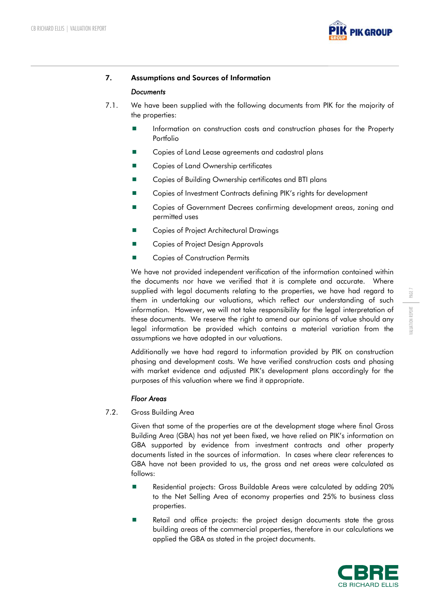

# 7. Assumptions and Sources of Information

## *Documents*

- 7.1. We have been supplied with the following documents from PIK for the majority of the properties:
	- **Information on construction costs and construction phases for the Property** Portfolio
	- Copies of Land Lease agreements and cadastral plans
	- Copies of Land Ownership certificates
	- Copies of Building Ownership certificates and BTI plans
	- Copies of Investment Contracts defining PIK's rights for development
	- Copies of Government Decrees confirming development areas, zoning and permitted uses
	- Copies of Project Architectural Drawings
	- Copies of Project Design Approvals
	- Copies of Construction Permits

We have not provided independent verification of the information contained within the documents nor have we verified that it is complete and accurate. Where supplied with legal documents relating to the properties, we have had regard to them in undertaking our valuations, which reflect our understanding of such information. However, we will not take responsibility for the legal interpretation of these documents. We reserve the right to amend our opinions of value should any legal information be provided which contains a material variation from the assumptions we have adopted in our valuations.

Additionally we have had regard to information provided by PIK on construction phasing and development costs. We have verified construction costs and phasing with market evidence and adjusted PIK's development plans accordingly for the purposes of this valuation where we find it appropriate.

## *Floor Areas*

7.2. Gross Building Area

Given that some of the properties are at the development stage where final Gross Building Area (GBA) has not yet been fixed, we have relied on PIK's information on GBA supported by evidence from investment contracts and other property documents listed in the sources of information. In cases where clear references to GBA have not been provided to us, the gross and net areas were calculated as follows:

- Residential projects: Gross Buildable Areas were calculated by adding 20% to the Net Selling Area of economy properties and 25% to business class properties.
- Retail and office projects: the project design documents state the gross building areas of the commercial properties, therefore in our calculations we applied the GBA as stated in the project documents.

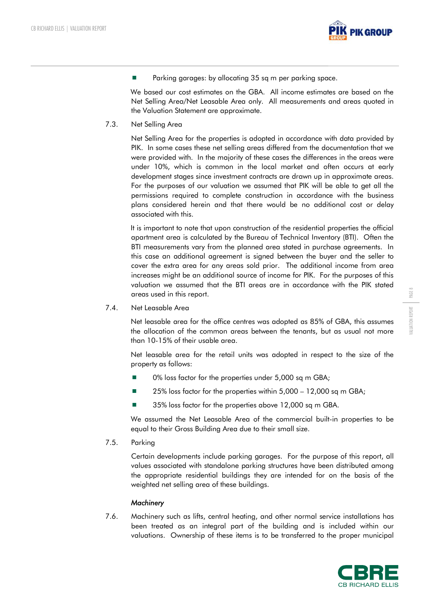

**Parking garages: by allocating 35 sq m per parking space.** 

We based our cost estimates on the GBA. All income estimates are based on the Net Selling Area/Net Leasable Area only. All measurements and areas quoted in the Valuation Statement are approximate.

7.3. Net Selling Area

Net Selling Area for the properties is adopted in accordance with data provided by PIK. In some cases these net selling areas differed from the documentation that we were provided with. In the majority of these cases the differences in the areas were under 10%, which is common in the local market and often occurs at early development stages since investment contracts are drawn up in approximate areas. For the purposes of our valuation we assumed that PIK will be able to get all the permissions required to complete construction in accordance with the business plans considered herein and that there would be no additional cost or delay associated with this.

It is important to note that upon construction of the residential properties the official apartment area is calculated by the Bureau of Technical Inventory (BTI). Often the BTI measurements vary from the planned area stated in purchase agreements. In this case an additional agreement is signed between the buyer and the seller to cover the extra area for any areas sold prior. The additional income from area increases might be an additional source of income for PIK. For the purposes of this valuation we assumed that the BTI areas are in accordance with the PIK stated areas used in this report.

7.4. Net Leasable Area

Net leasable area for the office centres was adopted as 85% of GBA, this assumes the allocation of the common areas between the tenants, but as usual not more than 10-15% of their usable area.

Net leasable area for the retail units was adopted in respect to the size of the property as follows:

- 0% loss factor for the properties under 5,000 sq m GBA;
- 25% loss factor for the properties within 5,000 12,000 sq m GBA;
- 35% loss factor for the properties above 12,000 sq m GBA.

We assumed the Net Leasable Area of the commercial built-in properties to be equal to their Gross Building Area due to their small size.

7.5. Parking

Certain developments include parking garages. For the purpose of this report, all values associated with standalone parking structures have been distributed among the appropriate residential buildings they are intended for on the basis of the weighted net selling area of these buildings.

## *Machinery*

7.6. Machinery such as lifts, central heating, and other normal service installations has been treated as an integral part of the building and is included within our valuations. Ownership of these items is to be transferred to the proper municipal

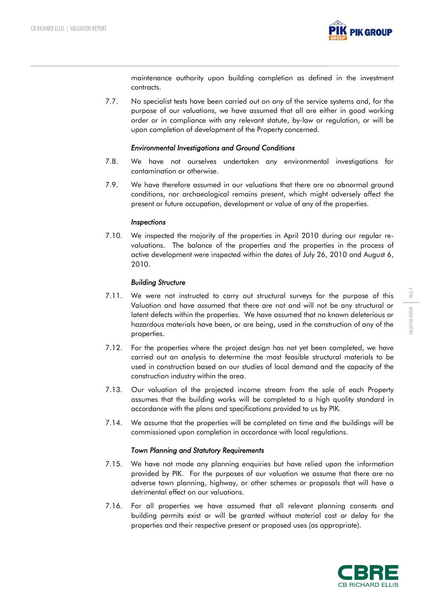

maintenance authority upon building completion as defined in the investment contracts.

7.7. No specialist tests have been carried out on any of the service systems and, for the purpose of our valuations, we have assumed that all are either in good working order or in compliance with any relevant statute, by-law or regulation, or will be upon completion of development of the Property concerned.

#### *Environmental Investigations and Ground Conditions*

- 7.8. We have not ourselves undertaken any environmental investigations for contamination or otherwise.
- 7.9. We have therefore assumed in our valuations that there are no abnormal ground conditions, nor archaeological remains present, which might adversely affect the present or future occupation, development or value of any of the properties.

#### *Inspections*

7.10. We inspected the majority of the properties in April 2010 during our regular revaluations. The balance of the properties and the properties in the process of active development were inspected within the dates of July 26, 2010 and August 6, 2010.

#### *Building Structure*

- 7.11. We were not instructed to carry out structural surveys for the purpose of this Valuation and have assumed that there are not and will not be any structural or latent defects within the properties. We have assumed that no known deleterious or hazardous materials have been, or are being, used in the construction of any of the properties.
- 7.12. For the properties where the project design has not yet been completed, we have carried out an analysis to determine the most feasible structural materials to be used in construction based on our studies of local demand and the capacity of the construction industry within the area.
- 7.13. Our valuation of the projected income stream from the sale of each Property assumes that the building works will be completed to a high quality standard in accordance with the plans and specifications provided to us by PIK.
- 7.14. We assume that the properties will be completed on time and the buildings will be commissioned upon completion in accordance with local regulations.

#### *Town Planning and Statutory Requirements*

- 7.15. We have not made any planning enquiries but have relied upon the information provided by PIK. For the purposes of our valuation we assume that there are no adverse town planning, highway, or other schemes or proposals that will have a detrimental effect on our valuations.
- 7.16. For all properties we have assumed that all relevant planning consents and building permits exist or will be granted without material cost or delay for the properties and their respective present or proposed uses (as appropriate).

PAGE 9

VALUATION REPORT

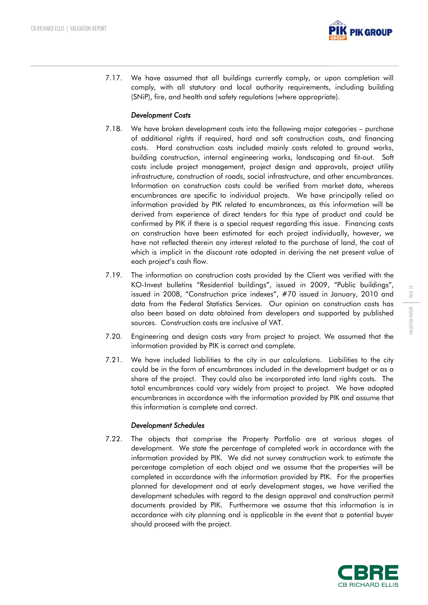

7.17. We have assumed that all buildings currently comply, or upon completion will comply, with all statutory and local authority requirements, including building (SNiP), fire, and health and safety regulations (where appropriate).

# *Development Costs*

- 7.18. We have broken development costs into the following major categories purchase of additional rights if required, hard and soft construction costs, and financing costs. Hard construction costs included mainly costs related to ground works, building construction, internal engineering works, landscaping and fit-out. Soft costs include project management, project design and approvals, project utility infrastructure, construction of roads, social infrastructure, and other encumbrances. Information on construction costs could be verified from market data, whereas encumbrances are specific to individual projects. We have principally relied on information provided by PIK related to encumbrances, as this information will be derived from experience of direct tenders for this type of product and could be confirmed by PIK if there is a special request regarding this issue. Financing costs on construction have been estimated for each project individually, however, we have not reflected therein any interest related to the purchase of land, the cost of which is implicit in the discount rate adopted in deriving the net present value of each project's cash flow.
- 7.19. The information on construction costs provided by the Client was verified with the KO-Invest bulletins "Residential buildings", issued in 2009, "Public buildings", issued in 2008, "Construction price indexes", #70 issued in January, 2010 and data from the Federal Statistics Services. Our opinion on construction costs has also been based on data obtained from developers and supported by published sources. Construction costs are inclusive of VAT.
- 7.20. Engineering and design costs vary from project to project. We assumed that the information provided by PIK is correct and complete.
- 7.21. We have included liabilities to the city in our calculations. Liabilities to the city could be in the form of encumbrances included in the development budget or as a share of the project. They could also be incorporated into land rights costs. The total encumbrances could vary widely from project to project. We have adopted encumbrances in accordance with the information provided by PIK and assume that this information is complete and correct.

## *Development Schedules*

7.22. The objects that comprise the Property Portfolio are at various stages of development. We state the percentage of completed work in accordance with the information provided by PIK. We did not survey construction work to estimate the percentage completion of each object and we assume that the properties will be completed in accordance with the information provided by PIK. For the properties planned for development and at early development stages, we have verified the development schedules with regard to the design approval and construction permit documents provided by PIK. Furthermore we assume that this information is in accordance with city planning and is applicable in the event that a potential buyer should proceed with the project.

PAGE 1

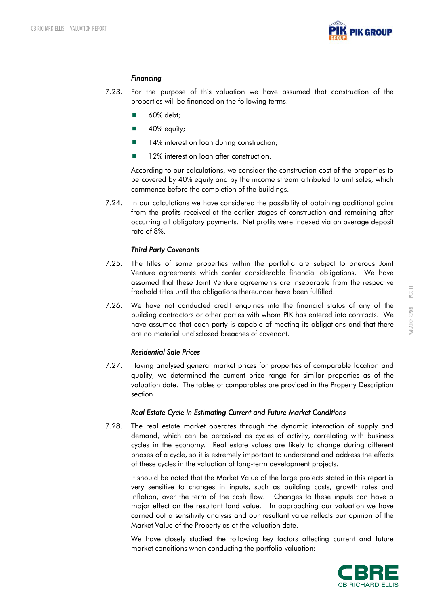

#### *Financing*

- 7.23. For the purpose of this valuation we have assumed that construction of the properties will be financed on the following terms:
	- 60% debt;
	- $\blacksquare$  40% equity;
	- 14% interest on loan during construction;
	- 12% interest on loan after construction.

According to our calculations, we consider the construction cost of the properties to be covered by 40% equity and by the income stream attributed to unit sales, which commence before the completion of the buildings.

7.24. In our calculations we have considered the possibility of obtaining additional gains from the profits received at the earlier stages of construction and remaining after occurring all obligatory payments. Net profits were indexed via an average deposit rate of 8%.

#### *Third Party Covenants*

- 7.25. The titles of some properties within the portfolio are subject to onerous Joint Venture agreements which confer considerable financial obligations. We have assumed that these Joint Venture agreements are inseparable from the respective freehold titles until the obligations thereunder have been fulfilled.
- 7.26. We have not conducted credit enquiries into the financial status of any of the building contractors or other parties with whom PIK has entered into contracts. We have assumed that each party is capable of meeting its obligations and that there are no material undisclosed breaches of covenant.

## *Residential Sale Prices*

7.27. Having analysed general market prices for properties of comparable location and quality, we determined the current price range for similar properties as of the valuation date. The tables of comparables are provided in the Property Description section.

#### *Real Estate Cycle in Estimating Current and Future Market Conditions*

7.28. The real estate market operates through the dynamic interaction of supply and demand, which can be perceived as cycles of activity, correlating with business cycles in the economy. Real estate values are likely to change during different phases of a cycle, so it is extremely important to understand and address the effects of these cycles in the valuation of long-term development projects.

It should be noted that the Market Value of the large projects stated in this report is very sensitive to changes in inputs, such as building costs, growth rates and inflation, over the term of the cash flow. Changes to these inputs can have a major effect on the resultant land value. In approaching our valuation we have carried out a sensitivity analysis and our resultant value reflects our opinion of the Market Value of the Property as at the valuation date.

We have closely studied the following key factors affecting current and future market conditions when conducting the portfolio valuation:

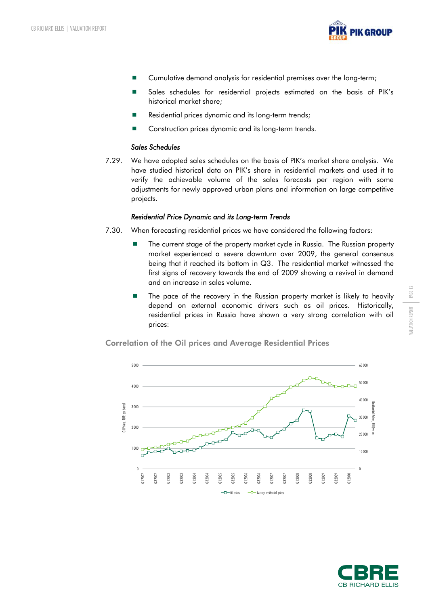

- Cumulative demand analysis for residential premises over the long-term;
- Sales schedules for residential projects estimated on the basis of PIK's historical market share;
- Residential prices dynamic and its long-term trends;
- Construction prices dynamic and its long-term trends.

#### *Sales Schedules*

7.29. We have adopted sales schedules on the basis of PIK's market share analysis. We have studied historical data on PIK's share in residential markets and used it to verify the achievable volume of the sales forecasts per region with some adjustments for newly approved urban plans and information on large competitive projects.

#### *Residential Price Dynamic and its Long-term Trends*

- 7.30. When forecasting residential prices we have considered the following factors:
	- The current stage of the property market cycle in Russia. The Russian property market experienced a severe downturn over 2009, the general consensus being that it reached its bottom in Q3. The residential market witnessed the first signs of recovery towards the end of 2009 showing a revival in demand and an increase in sales volume.
	- **The pace of the recovery in the Russian property market is likely to heavily** depend on external economic drivers such as oil prices. Historically, residential prices in Russia have shown a very strong correlation with oil prices:



Correlation of the Oil prices and Average Residential Prices



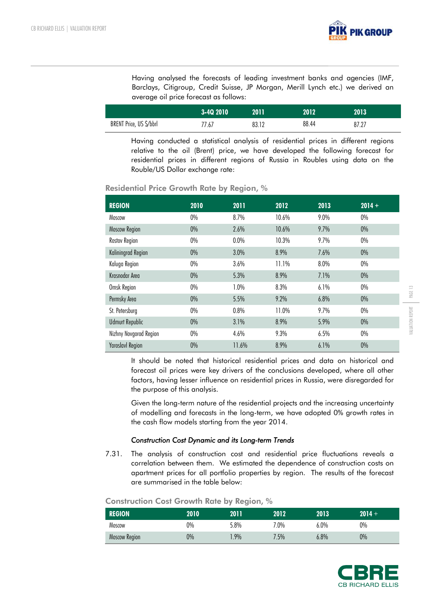

Having analysed the forecasts of leading investment banks and agencies (IMF, Barclays, Citigroup, Credit Suisse, JP Morgan, Merill Lynch etc.) we derived an average oil price forecast as follows:

|                         | 3-4Q 2010 | 2011  | 2012  | 2013  |
|-------------------------|-----------|-------|-------|-------|
| BRENT Price, US \$/bbrl | 77.67     | 83.12 | 88.44 | 87.27 |

Having conducted a statistical analysis of residential prices in different regions relative to the oil (Brent) price, we have developed the following forecast for residential prices in different regions of Russia in Roubles using data on the Rouble/US Dollar exchange rate:

| <b>REGION</b>           | 2010  | 2011  | 2012  | 2013 | $2014 +$ |  |
|-------------------------|-------|-------|-------|------|----------|--|
| Moscow                  | $0\%$ | 8.7%  | 10.6% | 9.0% | $0\%$    |  |
| <b>Moscow Region</b>    | $0\%$ | 2.6%  | 10.6% | 9.7% | $0\%$    |  |
| Rostov Region           | $0\%$ | 0.0%  | 10.3% | 9.7% | $0\%$    |  |
| Kaliningrad Region      | $0\%$ | 3.0%  | 8.9%  | 7.6% | $0\%$    |  |
| Kaluga Region           | $0\%$ | 3.6%  | 11.1% | 8.0% | $0\%$    |  |
| Krasnodar Area          | $0\%$ | 5.3%  | 8.9%  | 7.1% | $0\%$    |  |
| Omsk Region             | $0\%$ | 1.0%  | 8.3%  | 6.1% | $0\%$    |  |
| Permsky Area            | $0\%$ | 5.5%  | 9.2%  | 6.8% | $0\%$    |  |
| St. Petersburg          | $0\%$ | 0.8%  | 11.0% | 9.7% | $0\%$    |  |
| <b>Udmurt Republic</b>  | $0\%$ | 3.1%  | 8.9%  | 5.9% | $0\%$    |  |
| Nizhny Novgorod Region  | $0\%$ | 4.6%  | 9.3%  | 6.5% | $0\%$    |  |
| <b>Yaroslavl Region</b> | $0\%$ | 11.6% | 8.9%  | 6.1% | $0\%$    |  |

# Residential Price Growth Rate by Region, %

It should be noted that historical residential prices and data on historical and forecast oil prices were key drivers of the conclusions developed, where all other factors, having lesser influence on residential prices in Russia, were disregarded for the purpose of this analysis.

Given the long-term nature of the residential projects and the increasing uncertainty of modelling and forecasts in the long-term, we have adopted 0% growth rates in the cash flow models starting from the year 2014.

## *Construction Cost Dynamic and its Long-term Trends*

7.31. The analysis of construction cost and residential price fluctuations reveals a correlation between them. We estimated the dependence of construction costs on apartment prices for all portfolio properties by region. The results of the forecast are summarised in the table below:

| CONSITUCTION COST OTOWITI KOIE DY REGION, 70 |       |      |      |      |          |  |  |
|----------------------------------------------|-------|------|------|------|----------|--|--|
| <b>REGION</b>                                | 2010' | 2011 | 2012 | 2013 | $2014 +$ |  |  |
| Moscow                                       | 0%    | 5.8% | 7.0% | 6.0% | $0\%$    |  |  |

Moscow Region 0% 1.9% 7.5% 6.8% 0%

# Construction Rate by Region,  $\theta$

| CB RICHARD ELLIS |  |
|------------------|--|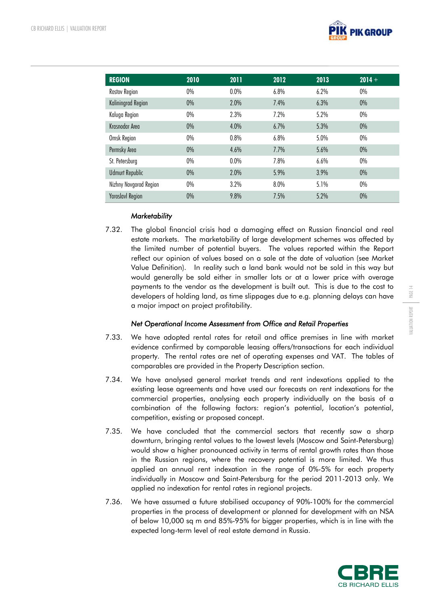

| <b>REGION</b>           | 2010  | 2011 | 2012 | 2013 | $2014 +$ |  |
|-------------------------|-------|------|------|------|----------|--|
| Rostov Region           | $0\%$ | 0.0% | 6.8% | 6.2% | $0\%$    |  |
| Kaliningrad Region      | $0\%$ | 2.0% | 7.4% | 6.3% | 0%       |  |
| Kaluga Region           | 0%    | 2.3% | 7.2% | 5.2% | $0\%$    |  |
| Krasnodar Area          | $0\%$ | 4.0% | 6.7% | 5.3% | $0\%$    |  |
| Omsk Region             | 0%    | 0.8% | 6.8% | 5.0% | $0\%$    |  |
| Permsky Area            | $0\%$ | 4.6% | 7.7% | 5.6% | $0\%$    |  |
| St. Petersburg          | $0\%$ | 0.0% | 7.8% | 6.6% | $0\%$    |  |
| <b>Udmurt Republic</b>  | $0\%$ | 2.0% | 5.9% | 3.9% | 0%       |  |
| Nizhny Novgorod Region  | $0\%$ | 3.2% | 8.0% | 5.1% | $0\%$    |  |
| <b>Yaroslavl Region</b> | $0\%$ | 9.8% | 7.5% | 5.2% | $0\%$    |  |

## *Marketability*

7.32. The global financial crisis had a damaging effect on Russian financial and real estate markets. The marketability of large development schemes was affected by the limited number of potential buyers. The values reported within the Report reflect our opinion of values based on a sale at the date of valuation (see Market Value Definition). In reality such a land bank would not be sold in this way but would generally be sold either in smaller lots or at a lower price with overage payments to the vendor as the development is built out. This is due to the cost to developers of holding land, as time slippages due to e.g. planning delays can have a major impact on project profitability.

## *Net Operational Income Assessment from Office and Retail Properties*

- 7.33. We have adopted rental rates for retail and office premises in line with market evidence confirmed by comparable leasing offers/transactions for each individual property. The rental rates are net of operating expenses and VAT. The tables of comparables are provided in the Property Description section.
- 7.34. We have analysed general market trends and rent indexations applied to the existing lease agreements and have used our forecasts on rent indexations for the commercial properties, analysing each property individually on the basis of a combination of the following factors: region's potential, location's potential, competition, existing or proposed concept.
- 7.35. We have concluded that the commercial sectors that recently saw a sharp downturn, bringing rental values to the lowest levels (Moscow and Saint-Petersburg) would show a higher pronounced activity in terms of rental growth rates than those in the Russian regions, where the recovery potential is more limited. We thus applied an annual rent indexation in the range of 0%-5% for each property individually in Moscow and Saint-Petersburg for the period 2011-2013 only. We applied no indexation for rental rates in regional projects.
- 7.36. We have assumed a future stabilised occupancy of 90%-100% for the commercial properties in the process of development or planned for development with an NSA of below 10,000 sq m and 85%-95% for bigger properties, which is in line with the expected long-term level of real estate demand in Russia.

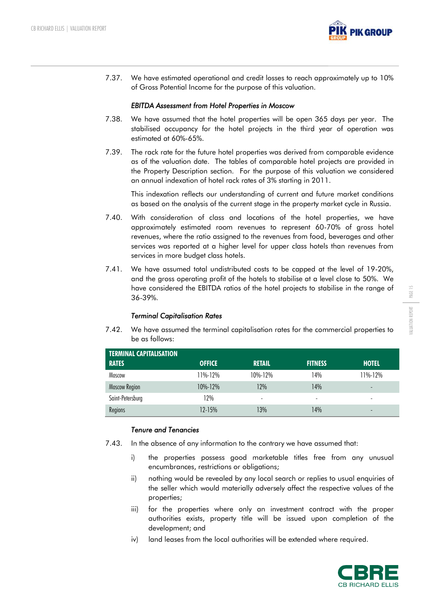

7.37. We have estimated operational and credit losses to reach approximately up to 10% of Gross Potential Income for the purpose of this valuation.

#### *EBITDA Assessment from Hotel Properties in Moscow*

- 7.38. We have assumed that the hotel properties will be open 365 days per year. The stabilised occupancy for the hotel projects in the third year of operation was estimated at 60%-65%.
- 7.39. The rack rate for the future hotel properties was derived from comparable evidence as of the valuation date. The tables of comparable hotel projects are provided in the Property Description section. For the purpose of this valuation we considered an annual indexation of hotel rack rates of 3% starting in 2011.

This indexation reflects our understanding of current and future market conditions as based on the analysis of the current stage in the property market cycle in Russia.

- 7.40. With consideration of class and locations of the hotel properties, we have approximately estimated room revenues to represent 60-70% of gross hotel revenues, where the ratio assigned to the revenues from food, beverages and other services was reported at a higher level for upper class hotels than revenues from services in more budget class hotels.
- 7.41. We have assumed total undistributed costs to be capped at the level of 19-20%, and the gross operating profit of the hotels to stabilise at a level close to 50%. We have considered the EBITDA ratios of the hotel projects to stabilise in the range of 36-39%.

#### *Terminal Capitalisation Rates*

7.42. We have assumed the terminal capitalisation rates for the commercial properties to be as follows:

| <b>TERMINAL CAPITALISATION</b> |               |                          |                          |                          |
|--------------------------------|---------------|--------------------------|--------------------------|--------------------------|
| <b>RATES</b>                   | <b>OFFICE</b> | <b>RETAIL</b>            | <b>FITNESS</b>           | <b>HOTEL</b>             |
| Moscow                         | 11%-12%       | $10\% - 12\%$            | 14%                      | 11%-12%                  |
| <b>Moscow Region</b>           | $10\% - 12\%$ | 12%                      | 14%                      | -                        |
| Saint-Petersburg               | 12%           | $\overline{\phantom{a}}$ | $\overline{\phantom{a}}$ | $\overline{\phantom{a}}$ |
| Regions                        | $12 - 15%$    | 13%                      | 14%                      | $\qquad \qquad$          |

## *Tenure and Tenancies*

- 7.43. In the absence of any information to the contrary we have assumed that:
	- i) the properties possess good marketable titles free from any unusual encumbrances, restrictions or obligations;
	- ii) nothing would be revealed by any local search or replies to usual enquiries of the seller which would materially adversely affect the respective values of the properties;
	- iii) for the properties where only an investment contract with the proper authorities exists, property title will be issued upon completion of the development; and
	- iv) land leases from the local authorities will be extended where required.

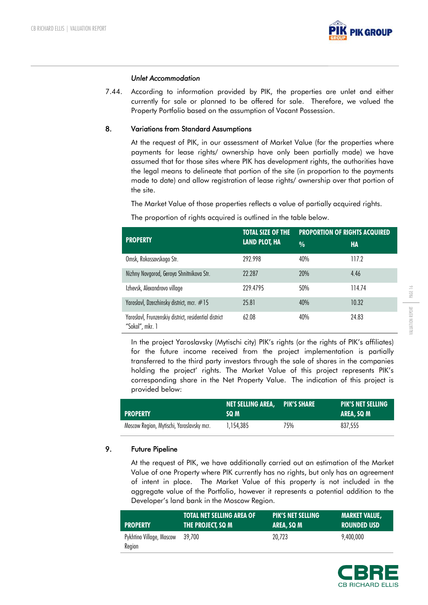

#### *Unlet Accommodation*

7.44. According to information provided by PIK, the properties are unlet and either currently for sale or planned to be offered for sale. Therefore, we valued the Property Portfolio based on the assumption of Vacant Possession.

## **8. Variations from Standard Assumptions**

At the request of PIK, in our assessment of Market Value (for the properties where payments for lease rights/ ownership have only been partially made) we have assumed that for those sites where PIK has development rights, the authorities have the legal means to delineate that portion of the site (in proportion to the payments made to date) and allow registration of lease rights/ ownership over that portion of the site.

The Market Value of those properties reflects a value of partially acquired rights.

The proportion of rights acquired is outlined in the table below.

|                                                                          | <b>TOTAL SIZE OF THE</b> | <b>PROPORTION OF RIGHTS ACQUIRED</b> |        |
|--------------------------------------------------------------------------|--------------------------|--------------------------------------|--------|
| <b>PROPERTY</b>                                                          | <b>LAND PLOT, HA</b>     | $\frac{0}{0}$                        | HA     |
| Omsk, Rokossovskogo Str.                                                 | 292.998                  | 40%                                  | 117.2  |
| Nizhny Novgorod, Geroya Shnitnikova Str.                                 | 22.287                   | 20%                                  | 4.46   |
| Izhevsk, Alexandrovo village                                             | 229.4795                 | 50%                                  | 114.74 |
| Yaroslavl, Dzerzhinsky district, mcr. #15                                | 25.81                    | 40%                                  | 10.32  |
| Yaroslavl, Frunzenskiy district, residential district<br>"Sokol", mkr. 1 | 62.08                    | 40%                                  | 24.83  |

In the project Yaroslavsky (Mytischi city) PIK's rights (or the rights of PIK's affiliates) for the future income received from the project implementation is partially transferred to the third party investors through the sale of shares in the companies holding the project' rights. The Market Value of this project represents PIK's corresponding share in the Net Property Value. The indication of this project is provided below:

| <b>PROPERTY</b>                           | <b>NET SELLING AREA.</b> PIK'S SHARE<br>SQ M |     | <b>PIK'S NET SELLING</b><br>AREA, SQ M |
|-------------------------------------------|----------------------------------------------|-----|----------------------------------------|
| Moscow Region, Mytischi, Yaroslavsky mcr. | 1.154.385                                    | 75% | 837.555                                |

## **9. Future Pipeline**

At the request of PIK, we have additionally carried out an estimation of the Market Value of one Property where PIK currently has no rights, but only has an agreement of intent in place. The Market Value of this property is not included in the aggregate value of the Portfolio, however it represents a potential addition to the Developer's land bank in the Moscow Region.

| <b>PROPERTY</b>                           | <b>TOTAL NET SELLING AREA OF</b> | <b>PIK'S NET SELLING</b> | <b>MARKET VALUE.</b>  |
|-------------------------------------------|----------------------------------|--------------------------|-----------------------|
|                                           | THE PROJECT. SQ M                | AREA, SQ M               | LROUNDED USD <b>\</b> |
| Pykhtino Village, Moscow 39,700<br>Region |                                  | 20.723                   | 9.400.000             |

PAGE 16